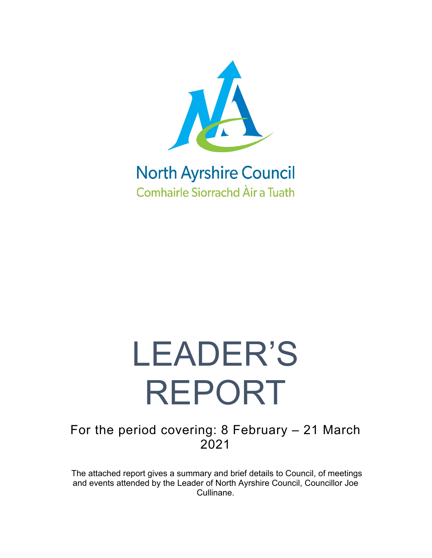

### **North Ayrshire Council Comhairle Siorrachd Àir a Tuath**

# LEADER'S REPORT

For the period covering: 8 February – 21 March 2021

The attached report gives a summary and brief details to Council, of meetings and events attended by the Leader of North Ayrshire Council, Councillor Joe Cullinane.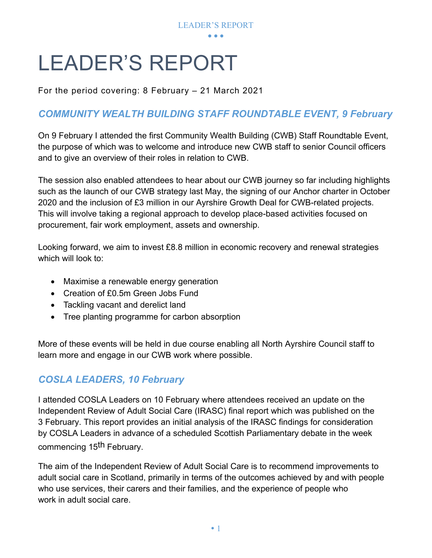

## LEADER'S REPORT

For the period covering: 8 February – 21 March 2021

#### *COMMUNITY WEALTH BUILDING STAFF ROUNDTABLE EVENT, 9 February*

On 9 February I attended the first Community Wealth Building (CWB) Staff Roundtable Event, the purpose of which was to welcome and introduce new CWB staff to senior Council officers and to give an overview of their roles in relation to CWB.

The session also enabled attendees to hear about our CWB journey so far including highlights such as the launch of our CWB strategy last May, the signing of our Anchor charter in October 2020 and the inclusion of £3 million in our Ayrshire Growth Deal for CWB-related projects. This will involve taking a regional approach to develop place-based activities focused on procurement, fair work employment, assets and ownership.

Looking forward, we aim to invest £8.8 million in economic recovery and renewal strategies which will look to:

- Maximise a renewable energy generation
- Creation of £0.5m Green Jobs Fund
- Tackling vacant and derelict land
- Tree planting programme for carbon absorption

More of these events will be held in due course enabling all North Ayrshire Council staff to learn more and engage in our CWB work where possible.

#### *COSLA LEADERS, 10 February*

I attended COSLA Leaders on 10 February where attendees received an update on the Independent Review of Adult Social Care (IRASC) final report which was published on the 3 February. This report provides an initial analysis of the IRASC findings for consideration by COSLA Leaders in advance of a scheduled Scottish Parliamentary debate in the week commencing 15<sup>th</sup> February.

The aim of the Independent Review of Adult Social Care is to recommend improvements to adult social care in Scotland, primarily in terms of the outcomes achieved by and with people who use services, their carers and their families, and the experience of people who work in adult social care.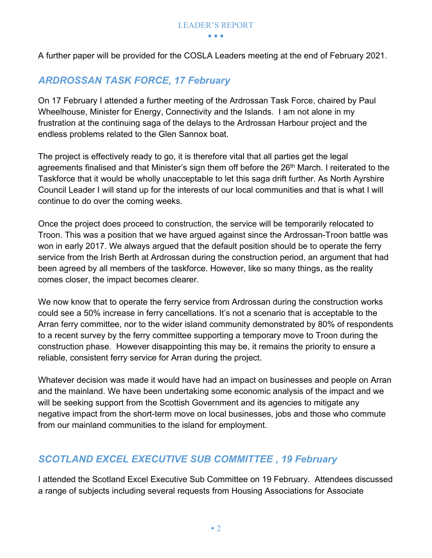A further paper will be provided for the COSLA Leaders meeting at the end of February 2021.

#### *ARDROSSAN TASK FORCE, 17 February*

On 17 February I attended a further meeting of the Ardrossan Task Force, chaired by Paul Wheelhouse, Minister for Energy, Connectivity and the Islands. I am not alone in my frustration at the continuing saga of the delays to the Ardrossan Harbour project and the endless problems related to the Glen Sannox boat.

The project is effectively ready to go, it is therefore vital that all parties get the legal agreements finalised and that Minister's sign them off before the 26<sup>th</sup> March. I reiterated to the Taskforce that it would be wholly unacceptable to let this saga drift further. As North Ayrshire Council Leader I will stand up for the interests of our local communities and that is what I will continue to do over the coming weeks.

Once the project does proceed to construction, the service will be temporarily relocated to Troon. This was a position that we have argued against since the Ardrossan-Troon battle was won in early 2017. We always argued that the default position should be to operate the ferry service from the Irish Berth at Ardrossan during the construction period, an argument that had been agreed by all members of the taskforce. However, like so many things, as the reality comes closer, the impact becomes clearer.

We now know that to operate the ferry service from Ardrossan during the construction works could see a 50% increase in ferry cancellations. It's not a scenario that is acceptable to the Arran ferry committee, nor to the wider island community demonstrated by 80% of respondents to a recent survey by the ferry committee supporting a temporary move to Troon during the construction phase. However disappointing this may be, it remains the priority to ensure a reliable, consistent ferry service for Arran during the project.

Whatever decision was made it would have had an impact on businesses and people on Arran and the mainland. We have been undertaking some economic analysis of the impact and we will be seeking support from the Scottish Government and its agencies to mitigate any negative impact from the short-term move on local businesses, jobs and those who commute from our mainland communities to the island for employment.

#### *SCOTLAND EXCEL EXECUTIVE SUB COMMITTEE , 19 February*

I attended the Scotland Excel Executive Sub Committee on 19 February. Attendees discussed a range of subjects including several requests from Housing Associations for Associate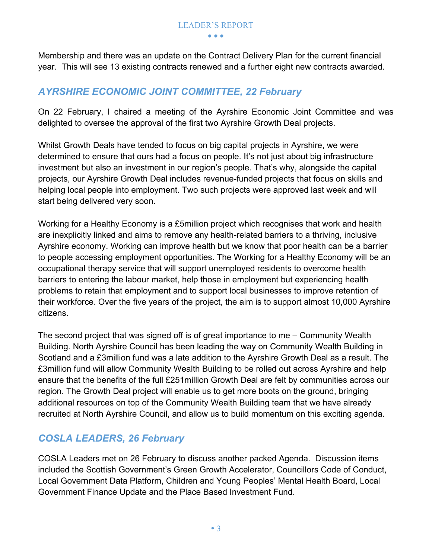Membership and there was an update on the Contract Delivery Plan for the current financial year. This will see 13 existing contracts renewed and a further eight new contracts awarded.

#### *AYRSHIRE ECONOMIC JOINT COMMITTEE, 22 February*

On 22 February, I chaired a meeting of the Ayrshire Economic Joint Committee and was delighted to oversee the approval of the first two Ayrshire Growth Deal projects.

Whilst Growth Deals have tended to focus on big capital projects in Ayrshire, we were determined to ensure that ours had a focus on people. It's not just about big infrastructure investment but also an investment in our region's people. That's why, alongside the capital projects, our Ayrshire Growth Deal includes revenue-funded projects that focus on skills and helping local people into employment. Two such projects were approved last week and will start being delivered very soon.

Working for a Healthy Economy is a £5million project which recognises that work and health are inexplicitly linked and aims to remove any health-related barriers to a thriving, inclusive Ayrshire economy. Working can improve health but we know that poor health can be a barrier to people accessing employment opportunities. The Working for a Healthy Economy will be an occupational therapy service that will support unemployed residents to overcome health barriers to entering the labour market, help those in employment but experiencing health problems to retain that employment and to support local businesses to improve retention of their workforce. Over the five years of the project, the aim is to support almost 10,000 Ayrshire citizens.

The second project that was signed off is of great importance to me – Community Wealth Building. North Ayrshire Council has been leading the way on Community Wealth Building in Scotland and a £3million fund was a late addition to the Ayrshire Growth Deal as a result. The £3million fund will allow Community Wealth Building to be rolled out across Ayrshire and help ensure that the benefits of the full £251million Growth Deal are felt by communities across our region. The Growth Deal project will enable us to get more boots on the ground, bringing additional resources on top of the Community Wealth Building team that we have already recruited at North Ayrshire Council, and allow us to build momentum on this exciting agenda.

#### *COSLA LEADERS, 26 February*

COSLA Leaders met on 26 February to discuss another packed Agenda. Discussion items included the Scottish Government's Green Growth Accelerator, Councillors Code of Conduct, Local Government Data Platform, Children and Young Peoples' Mental Health Board, Local Government Finance Update and the Place Based Investment Fund.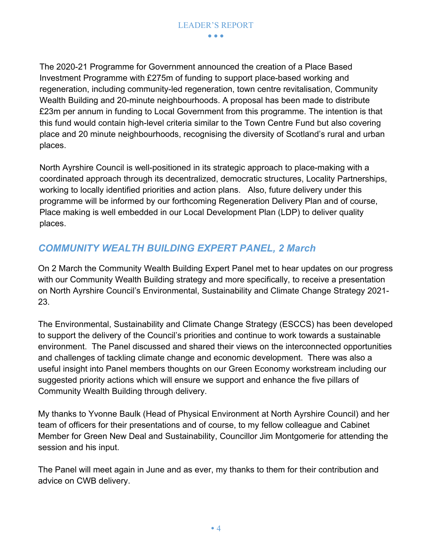The 2020-21 Programme for Government announced the creation of a Place Based Investment Programme with £275m of funding to support place-based working and regeneration, including community-led regeneration, town centre revitalisation, Community Wealth Building and 20-minute neighbourhoods. A proposal has been made to distribute £23m per annum in funding to Local Government from this programme. The intention is that this fund would contain high-level criteria similar to the Town Centre Fund but also covering place and 20 minute neighbourhoods, recognising the diversity of Scotland's rural and urban places.

North Ayrshire Council is well-positioned in its strategic approach to place-making with a coordinated approach through its decentralized, democratic structures, Locality Partnerships, working to locally identified priorities and action plans. Also, future delivery under this programme will be informed by our forthcoming Regeneration Delivery Plan and of course, Place making is well embedded in our Local Development Plan (LDP) to deliver quality places.

#### *COMMUNITY WEALTH BUILDING EXPERT PANEL, 2 March*

On 2 March the Community Wealth Building Expert Panel met to hear updates on our progress with our Community Wealth Building strategy and more specifically, to receive a presentation on North Ayrshire Council's Environmental, Sustainability and Climate Change Strategy 2021- 23.

The Environmental, Sustainability and Climate Change Strategy (ESCCS) has been developed to support the delivery of the Council's priorities and continue to work towards a sustainable environment. The Panel discussed and shared their views on the interconnected opportunities and challenges of tackling climate change and economic development. There was also a useful insight into Panel members thoughts on our Green Economy workstream including our suggested priority actions which will ensure we support and enhance the five pillars of Community Wealth Building through delivery.

My thanks to Yvonne Baulk (Head of Physical Environment at North Ayrshire Council) and her team of officers for their presentations and of course, to my fellow colleague and Cabinet Member for Green New Deal and Sustainability, Councillor Jim Montgomerie for attending the session and his input.

The Panel will meet again in June and as ever, my thanks to them for their contribution and advice on CWB delivery.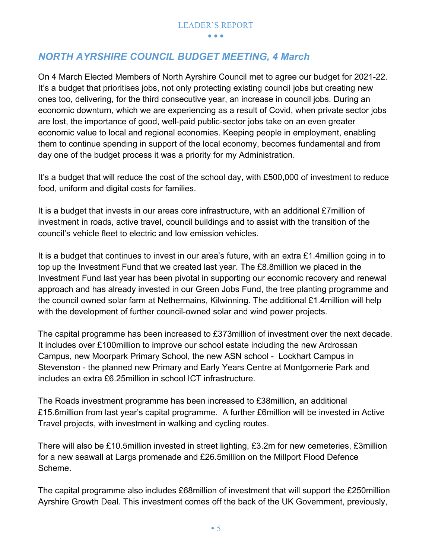#### *NORTH AYRSHIRE COUNCIL BUDGET MEETING, 4 March*

On 4 March Elected Members of North Ayrshire Council met to agree our budget for 2021-22. It's a budget that prioritises jobs, not only protecting existing council jobs but creating new ones too, delivering, for the third consecutive year, an increase in council jobs. During an economic downturn, which we are experiencing as a result of Covid, when private sector jobs are lost, the importance of good, well-paid public-sector jobs take on an even greater economic value to local and regional economies. Keeping people in employment, enabling them to continue spending in support of the local economy, becomes fundamental and from day one of the budget process it was a priority for my Administration.

It's a budget that will reduce the cost of the school day, with £500,000 of investment to reduce food, uniform and digital costs for families.

It is a budget that invests in our areas core infrastructure, with an additional £7million of investment in roads, active travel, council buildings and to assist with the transition of the council's vehicle fleet to electric and low emission vehicles.

It is a budget that continues to invest in our area's future, with an extra £1.4million going in to top up the Investment Fund that we created last year. The £8.8million we placed in the Investment Fund last year has been pivotal in supporting our economic recovery and renewal approach and has already invested in our Green Jobs Fund, the tree planting programme and the council owned solar farm at Nethermains, Kilwinning. The additional £1.4million will help with the development of further council-owned solar and wind power projects.

The capital programme has been increased to £373million of investment over the next decade. It includes over £100million to improve our school estate including the new Ardrossan Campus, new Moorpark Primary School, the new ASN school - Lockhart Campus in Stevenston - the planned new Primary and Early Years Centre at Montgomerie Park and includes an extra £6.25million in school ICT infrastructure.

The Roads investment programme has been increased to £38million, an additional £15.6million from last year's capital programme. A further £6million will be invested in Active Travel projects, with investment in walking and cycling routes.

There will also be £10.5million invested in street lighting, £3.2m for new cemeteries, £3million for a new seawall at Largs promenade and £26.5million on the Millport Flood Defence Scheme.

The capital programme also includes £68million of investment that will support the £250million Ayrshire Growth Deal. This investment comes off the back of the UK Government, previously,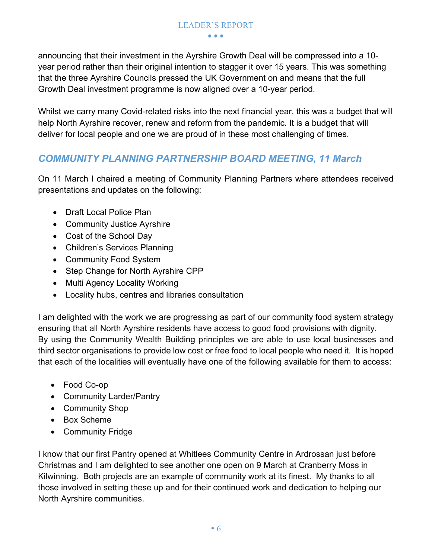announcing that their investment in the Ayrshire Growth Deal will be compressed into a 10 year period rather than their original intention to stagger it over 15 years. This was something that the three Ayrshire Councils pressed the UK Government on and means that the full Growth Deal investment programme is now aligned over a 10-year period.

Whilst we carry many Covid-related risks into the next financial year, this was a budget that will help North Ayrshire recover, renew and reform from the pandemic. It is a budget that will deliver for local people and one we are proud of in these most challenging of times.

#### *COMMUNITY PLANNING PARTNERSHIP BOARD MEETING, 11 March*

On 11 March I chaired a meeting of Community Planning Partners where attendees received presentations and updates on the following:

- Draft Local Police Plan
- Community Justice Ayrshire
- Cost of the School Day
- Children's Services Planning
- Community Food System
- Step Change for North Ayrshire CPP
- Multi Agency Locality Working
- Locality hubs, centres and libraries consultation

I am delighted with the work we are progressing as part of our community food system strategy ensuring that all North Ayrshire residents have access to good food provisions with dignity. By using the Community Wealth Building principles we are able to use local businesses and third sector organisations to provide low cost or free food to local people who need it. It is hoped that each of the localities will eventually have one of the following available for them to access:

- Food Co-op
- Community Larder/Pantry
- Community Shop
- Box Scheme
- Community Fridge

I know that our first Pantry opened at Whitlees Community Centre in Ardrossan just before Christmas and I am delighted to see another one open on 9 March at Cranberry Moss in Kilwinning. Both projects are an example of community work at its finest. My thanks to all those involved in setting these up and for their continued work and dedication to helping our North Ayrshire communities.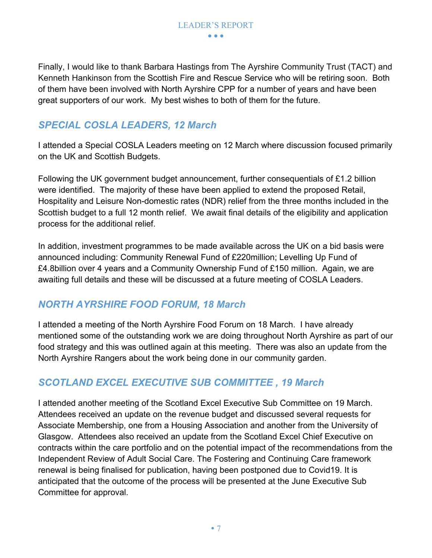Finally, I would like to thank Barbara Hastings from The Ayrshire Community Trust (TACT) and Kenneth Hankinson from the Scottish Fire and Rescue Service who will be retiring soon. Both of them have been involved with North Ayrshire CPP for a number of years and have been great supporters of our work. My best wishes to both of them for the future.

#### *SPECIAL COSLA LEADERS, 12 March*

I attended a Special COSLA Leaders meeting on 12 March where discussion focused primarily on the UK and Scottish Budgets.

Following the UK government budget announcement, further consequentials of £1.2 billion were identified. The majority of these have been applied to extend the proposed Retail, Hospitality and Leisure Non-domestic rates (NDR) relief from the three months included in the Scottish budget to a full 12 month relief. We await final details of the eligibility and application process for the additional relief.

In addition, investment programmes to be made available across the UK on a bid basis were announced including: Community Renewal Fund of £220million; Levelling Up Fund of £4.8billion over 4 years and a Community Ownership Fund of £150 million. Again, we are awaiting full details and these will be discussed at a future meeting of COSLA Leaders.

#### *NORTH AYRSHIRE FOOD FORUM, 18 March*

I attended a meeting of the North Ayrshire Food Forum on 18 March. I have already mentioned some of the outstanding work we are doing throughout North Ayrshire as part of our food strategy and this was outlined again at this meeting. There was also an update from the North Ayrshire Rangers about the work being done in our community garden.

#### *SCOTLAND EXCEL EXECUTIVE SUB COMMITTEE , 19 March*

I attended another meeting of the Scotland Excel Executive Sub Committee on 19 March. Attendees received an update on the revenue budget and discussed several requests for Associate Membership, one from a Housing Association and another from the University of Glasgow. Attendees also received an update from the Scotland Excel Chief Executive on contracts within the care portfolio and on the potential impact of the recommendations from the Independent Review of Adult Social Care. The Fostering and Continuing Care framework renewal is being finalised for publication, having been postponed due to Covid19. It is anticipated that the outcome of the process will be presented at the June Executive Sub Committee for approval.